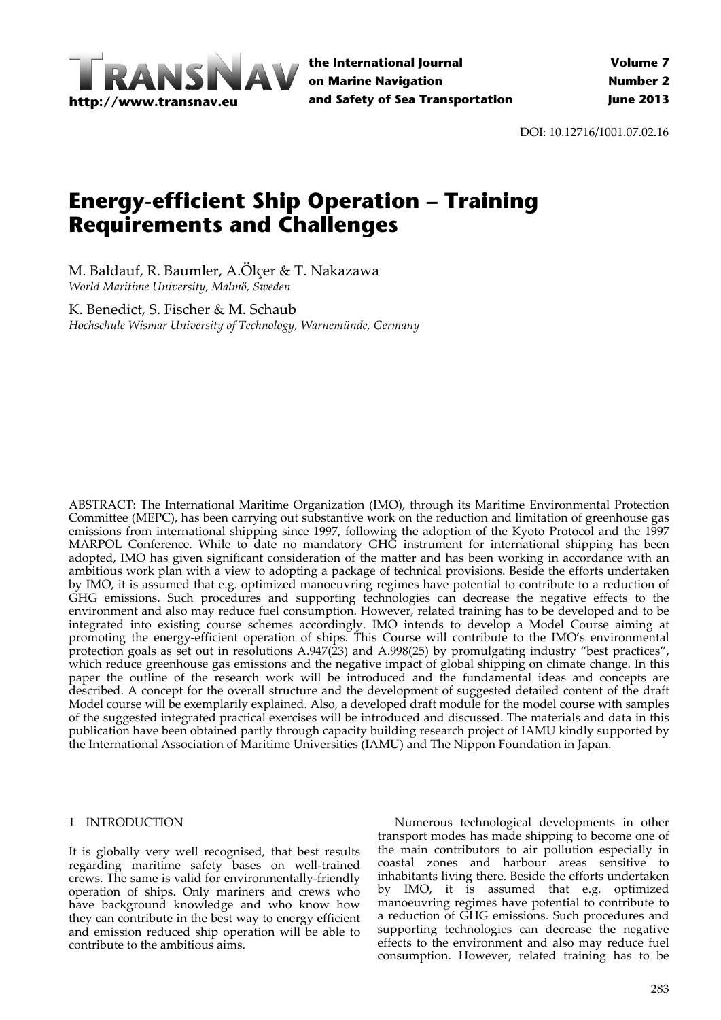

**the International Journal on Marine Navigation and Safety of Sea Transportation**

DOI: 10.12716/1001.07.02.16

# **Energy-efficient Ship Operation – Training Requirements and Challenges**

M. Baldauf, R. Baumler, A.Ölçer & T. Nakazawa *World Maritime University, Malmö, Sweden*

K. Benedict, S. Fischer & M. Schaub *Hochschule Wismar University of Technology, Warnemünde, Germany*

ABSTRACT: The International Maritime Organization (IMO), through its Maritime Environmental Protection Committee (MEPC), has been carrying out substantive work on the reduction and limitation of greenhouse gas emissions from international shipping since 1997, following the adoption of the Kyoto Protocol and the 1997 MARPOL Conference. While to date no mandatory GHG instrument for international shipping has been adopted, IMO has given significant consideration of the matter and has been working in accordance with an ambitious work plan with a view to adopting a package of technical provisions. Beside the efforts undertaken by IMO, it is assumed that e.g. optimized manoeuvring regimes have potential to contribute to a reduction of GHG emissions. Such procedures and supporting technologies can decrease the negative effects to the environment and also may reduce fuel consumption. However, related training has to be developed and to be integrated into existing course schemes accordingly. IMO intends to develop a Model Course aiming at promoting the energy‐efficient operation of ships. This Course will contribute to the IMO's environmental protection goals as set out in resolutions A.947(23) and A.998(25) by promulgating industry "best practices", which reduce greenhouse gas emissions and the negative impact of global shipping on climate change. In this paper the outline of the research work will be introduced and the fundamental ideas and concepts are described. A concept for the overall structure and the development of suggested detailed content of the draft Model course will be exemplarily explained. Also, a developed draft module for the model course with samples of the suggested integrated practical exercises will be introduced and discussed. The materials and data in this publication have been obtained partly through capacity building research project of IAMU kindly supported by the International Association of Maritime Universities (IAMU) and The Nippon Foundation in Japan.

### 1 INTRODUCTION

It is globally very well recognised, that best results regarding maritime safety bases on well-trained crews. The same is valid for environmentally‐friendly operation of ships. Only mariners and crews who have background knowledge and who know how they can contribute in the best way to energy efficient and emission reduced ship operation will be able to contribute to the ambitious aims.

Numerous technological developments in other transport modes has made shipping to become one of the main contributors to air pollution especially in coastal zones and harbour areas sensitive to inhabitants living there. Beside the efforts undertaken by IMO, it is assumed that e.g. optimized manoeuvring regimes have potential to contribute to a reduction of GHG emissions. Such procedures and supporting technologies can decrease the negative effects to the environment and also may reduce fuel consumption. However, related training has to be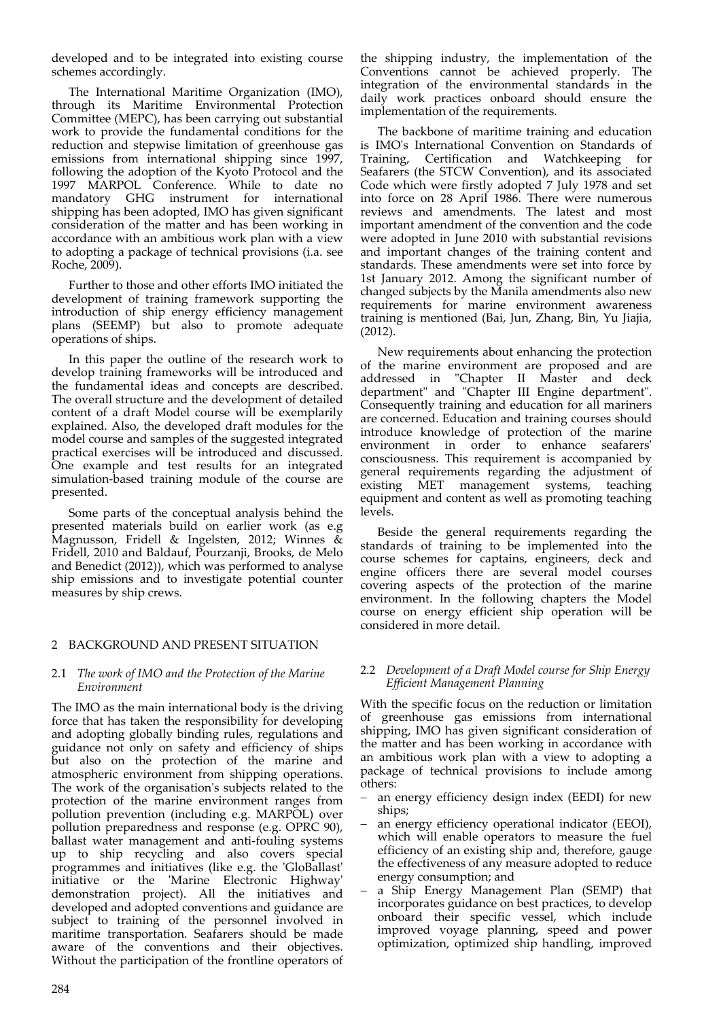developed and to be integrated into existing course schemes accordingly.

The International Maritime Organization (IMO), through its Maritime Environmental Protection Committee (MEPC), has been carrying out substantial work to provide the fundamental conditions for the reduction and stepwise limitation of greenhouse gas emissions from international shipping since 1997, following the adoption of the Kyoto Protocol and the 1997 MARPOL Conference. While to date no mandatory GHG instrument for international shipping has been adopted, IMO has given significant consideration of the matter and has been working in accordance with an ambitious work plan with a view to adopting a package of technical provisions (i.a. see Roche, 2009).

Further to those and other efforts IMO initiated the development of training framework supporting the introduction of ship energy efficiency management plans (SEEMP) but also to promote adequate operations of ships.

In this paper the outline of the research work to develop training frameworks will be introduced and the fundamental ideas and concepts are described. The overall structure and the development of detailed content of a draft Model course will be exemplarily explained. Also, the developed draft modules for the model course and samples of the suggested integrated practical exercises will be introduced and discussed. One example and test results for an integrated simulation‐based training module of the course are presented.

Some parts of the conceptual analysis behind the presented materials build on earlier work (as e.g Magnusson, Fridell & Ingelsten, 2012; Winnes & Fridell, 2010 and Baldauf, Pourzanji, Brooks, de Melo and Benedict (2012)), which was performed to analyse ship emissions and to investigate potential counter measures by ship crews.

# 2 BACKGROUND AND PRESENT SITUATION

### 2.1 *The work of IMO and the Protection of the Marine Environment*

The IMO as the main international body is the driving force that has taken the responsibility for developing and adopting globally binding rules, regulations and guidance not only on safety and efficiency of ships but also on the protection of the marine and atmospheric environment from shipping operations. The work of the organisation's subjects related to the protection of the marine environment ranges from pollution prevention (including e.g. MARPOL) over pollution preparedness and response (e.g. OPRC 90), ballast water management and anti‐fouling systems up to ship recycling and also covers special programmes and initiatives (like e.g. the 'GloBallast' initiative or the 'Marine Electronic Highway' demonstration project). All the initiatives and developed and adopted conventions and guidance are subject to training of the personnel involved in maritime transportation. Seafarers should be made aware of the conventions and their objectives. Without the participation of the frontline operators of

the shipping industry, the implementation of the Conventions cannot be achieved properly. The integration of the environmental standards in the daily work practices onboard should ensure the implementation of the requirements.

The backbone of maritime training and education is IMOʹs International Convention on Standards of Training, Certification and Watchkeeping for Seafarers (the STCW Convention), and its associated Code which were firstly adopted 7 July 1978 and set into force on 28 April 1986. There were numerous reviews and amendments. The latest and most important amendment of the convention and the code were adopted in June 2010 with substantial revisions and important changes of the training content and standards. These amendments were set into force by 1st January 2012. Among the significant number of changed subjects by the Manila amendments also new requirements for marine environment awareness training is mentioned (Bai, Jun, Zhang, Bin, Yu Jiajia, (2012).

New requirements about enhancing the protection of the marine environment are proposed and are addressed in "Chapter II Master and deck department" and "Chapter III Engine department". Consequently training and education for all mariners are concerned. Education and training courses should introduce knowledge of protection of the marine environment in order to enhance seafarers' consciousness. This requirement is accompanied by general requirements regarding the adjustment of existing MET management systems, teaching equipment and content as well as promoting teaching levels.

Beside the general requirements regarding the standards of training to be implemented into the course schemes for captains, engineers, deck and engine officers there are several model courses covering aspects of the protection of the marine environment. In the following chapters the Model course on energy efficient ship operation will be considered in more detail.

## 2.2 *Development of a Draft Model course for Ship Energy Efficient Management Planning*

With the specific focus on the reduction or limitation of greenhouse gas emissions from international shipping, IMO has given significant consideration of the matter and has been working in accordance with an ambitious work plan with a view to adopting a package of technical provisions to include among others:

- an energy efficiency design index (EEDI) for new ships;
- an energy efficiency operational indicator (EEOI), which will enable operators to measure the fuel efficiency of an existing ship and, therefore, gauge the effectiveness of any measure adopted to reduce energy consumption; and
- a Ship Energy Management Plan (SEMP) that incorporates guidance on best practices, to develop onboard their specific vessel, which include improved voyage planning, speed and power optimization, optimized ship handling, improved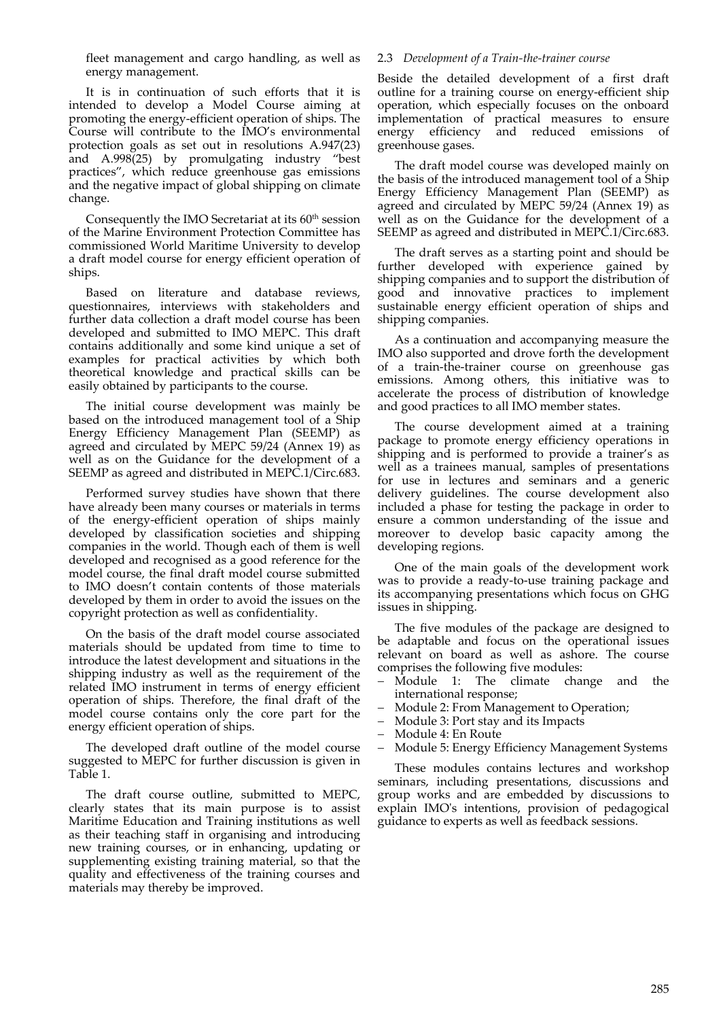fleet management and cargo handling, as well as energy management.

It is in continuation of such efforts that it is intended to develop a Model Course aiming at promoting the energy‐efficient operation of ships. The Course will contribute to the IMO's environmental protection goals as set out in resolutions A.947(23) and A.998(25) by promulgating industry "best practices", which reduce greenhouse gas emissions and the negative impact of global shipping on climate change.

Consequently the IMO Secretariat at its  $60<sup>th</sup>$  session of the Marine Environment Protection Committee has commissioned World Maritime University to develop a draft model course for energy efficient operation of ships.

Based on literature and database reviews, questionnaires, interviews with stakeholders and further data collection a draft model course has been developed and submitted to IMO MEPC. This draft contains additionally and some kind unique a set of examples for practical activities by which both theoretical knowledge and practical skills can be easily obtained by participants to the course.

The initial course development was mainly be based on the introduced management tool of a Ship Energy Efficiency Management Plan (SEEMP) as agreed and circulated by MEPC 59/24 (Annex 19) as well as on the Guidance for the development of a SEEMP as agreed and distributed in MEPC.1/Circ.683.

Performed survey studies have shown that there have already been many courses or materials in terms of the energy‐efficient operation of ships mainly developed by classification societies and shipping companies in the world. Though each of them is well developed and recognised as a good reference for the model course, the final draft model course submitted to IMO doesn't contain contents of those materials developed by them in order to avoid the issues on the copyright protection as well as confidentiality.

On the basis of the draft model course associated materials should be updated from time to time to introduce the latest development and situations in the shipping industry as well as the requirement of the related IMO instrument in terms of energy efficient operation of ships. Therefore, the final draft of the model course contains only the core part for the energy efficient operation of ships.

The developed draft outline of the model course suggested to MEPC for further discussion is given in Table 1.

The draft course outline, submitted to MEPC, clearly states that its main purpose is to assist Maritime Education and Training institutions as well as their teaching staff in organising and introducing new training courses, or in enhancing, updating or supplementing existing training material, so that the quality and effectiveness of the training courses and materials may thereby be improved.

## 2.3 *Development of a Train‐the‐trainer course*

Beside the detailed development of a first draft outline for a training course on energy-efficient ship operation, which especially focuses on the onboard implementation of practical measures to ensure energy efficiency and reduced emissions of greenhouse gases.

The draft model course was developed mainly on the basis of the introduced management tool of a Ship Energy Efficiency Management Plan (SEEMP) as agreed and circulated by MEPC 59/24 (Annex 19) as well as on the Guidance for the development of a SEEMP as agreed and distributed in MEPC.1/Circ.683.

The draft serves as a starting point and should be further developed with experience gained by shipping companies and to support the distribution of good and innovative practices to implement sustainable energy efficient operation of ships and shipping companies.

As a continuation and accompanying measure the IMO also supported and drove forth the development of a train‐the‐trainer course on greenhouse gas emissions. Among others, this initiative was to accelerate the process of distribution of knowledge and good practices to all IMO member states.

The course development aimed at a training package to promote energy efficiency operations in shipping and is performed to provide a trainer's as well as a trainees manual, samples of presentations for use in lectures and seminars and a generic delivery guidelines. The course development also included a phase for testing the package in order to ensure a common understanding of the issue and moreover to develop basic capacity among the developing regions.

One of the main goals of the development work was to provide a ready‐to‐use training package and its accompanying presentations which focus on GHG issues in shipping.

The five modules of the package are designed to be adaptable and focus on the operational issues relevant on board as well as ashore. The course comprises the following five modules:

- Module 1: The climate change and the international response;
- Module 2: From Management to Operation;
- Module 3: Port stay and its Impacts
- Module 4: En Route
- Module 5: Energy Efficiency Management Systems

These modules contains lectures and workshop seminars, including presentations, discussions and group works and are embedded by discussions to explain IMOʹs intentions, provision of pedagogical guidance to experts as well as feedback sessions.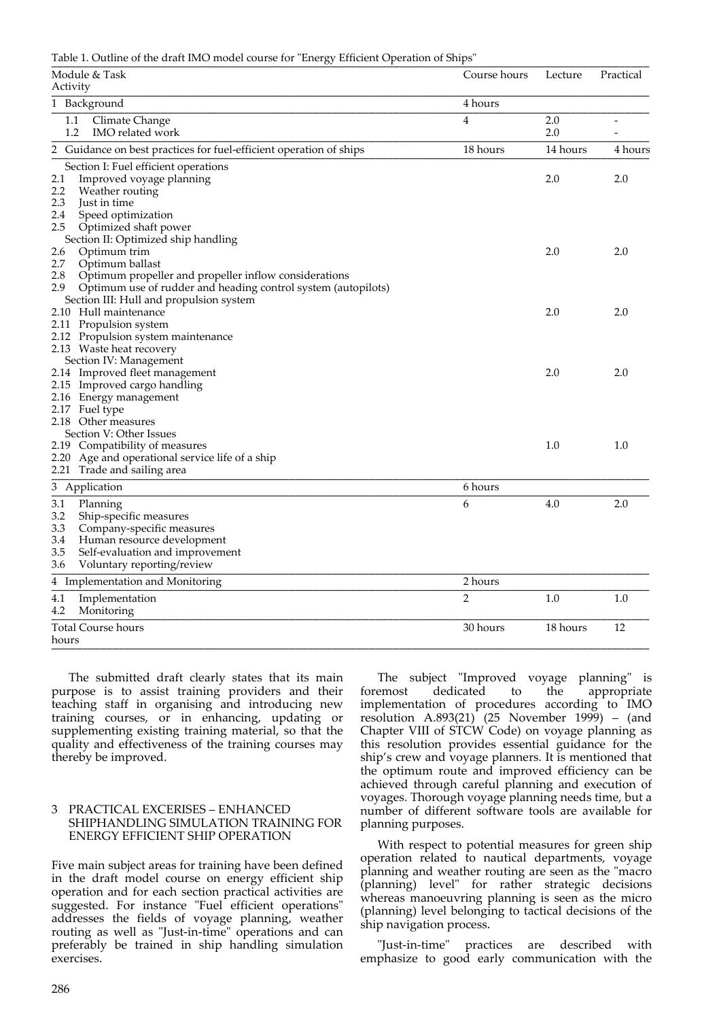Table 1. Outline of the draft IMO model course for "Energy Efficient Operation of Ships"

| ັ<br>Module & Task<br>Activity                                                                                                                                                                           | Course hours   | Lecture    | Practical |
|----------------------------------------------------------------------------------------------------------------------------------------------------------------------------------------------------------|----------------|------------|-----------|
| 1 Background                                                                                                                                                                                             | 4 hours        |            |           |
| Climate Change<br>1.1<br>1.2<br>IMO related work                                                                                                                                                         | 4              | 2.0<br>2.0 |           |
| 2 Guidance on best practices for fuel-efficient operation of ships                                                                                                                                       | 18 hours       | 14 hours   | 4 hours   |
| Section I: Fuel efficient operations<br>2.1<br>Improved voyage planning<br>2.2<br>Weather routing<br>2.3<br>Just in time<br>2.4<br>Speed optimization                                                    |                | 2.0        | 2.0       |
| 2.5<br>Optimized shaft power<br>Section II: Optimized ship handling<br>2.6<br>Optimum trim<br>2.7<br>Optimum ballast                                                                                     |                | 2.0        | 2.0       |
| 2.8<br>Optimum propeller and propeller inflow considerations<br>2.9<br>Optimum use of rudder and heading control system (autopilots)<br>Section III: Hull and propulsion system<br>2.10 Hull maintenance |                | 2.0        | 2.0       |
| 2.11 Propulsion system<br>2.12 Propulsion system maintenance<br>2.13 Waste heat recovery<br>Section IV: Management                                                                                       |                |            |           |
| 2.14 Improved fleet management<br>2.15 Improved cargo handling<br>2.16 Energy management<br>2.17 Fuel type                                                                                               |                | 2.0        | 2.0       |
| 2.18 Other measures<br>Section V: Other Issues<br>2.19 Compatibility of measures<br>2.20 Age and operational service life of a ship<br>2.21 Trade and sailing area                                       |                | 1.0        | 1.0       |
| 3 Application                                                                                                                                                                                            | 6 hours        |            |           |
| 3.1<br>Planning<br>Ship-specific measures<br>3.2<br>3.3<br>Company-specific measures<br>3.4<br>Human resource development<br>3.5<br>Self-evaluation and improvement<br>3.6<br>Voluntary reporting/review | 6              | 4.0        | 2.0       |
| 4 Implementation and Monitoring                                                                                                                                                                          | 2 hours        |            |           |
| 4.1<br>Implementation<br>4.2<br>Monitoring                                                                                                                                                               | $\overline{2}$ | 1.0        | 1.0       |
| Total Course hours<br>hours                                                                                                                                                                              | 30 hours       | 18 hours   | 12        |

The submitted draft clearly states that its main purpose is to assist training providers and their teaching staff in organising and introducing new training courses, or in enhancing, updating or supplementing existing training material, so that the quality and effectiveness of the training courses may thereby be improved.

## 3 PRACTICAL EXCERISES – ENHANCED SHIPHANDLING SIMULATION TRAINING FOR ENERGY EFFICIENT SHIP OPERATION

Five main subject areas for training have been defined in the draft model course on energy efficient ship operation and for each section practical activities are suggested. For instance "Fuel efficient operations" addresses the fields of voyage planning, weather routing as well as "Just-in-time" operations and can preferably be trained in ship handling simulation exercises.

The subject "Improved voyage planning" is foremost dedicated to the appropriate implementation of procedures according to IMO resolution A.893(21) (25 November 1999) – (and Chapter VIII of STCW Code) on voyage planning as this resolution provides essential guidance for the ship's crew and voyage planners. It is mentioned that the optimum route and improved efficiency can be achieved through careful planning and execution of voyages. Thorough voyage planning needs time, but a number of different software tools are available for planning purposes.

With respect to potential measures for green ship operation related to nautical departments, voyage planning and weather routing are seen as the "macro (planning) levelʺ for rather strategic decisions whereas manoeuvring planning is seen as the micro (planning) level belonging to tactical decisions of the ship navigation process.

"Just-in-time" practices are described with emphasize to good early communication with the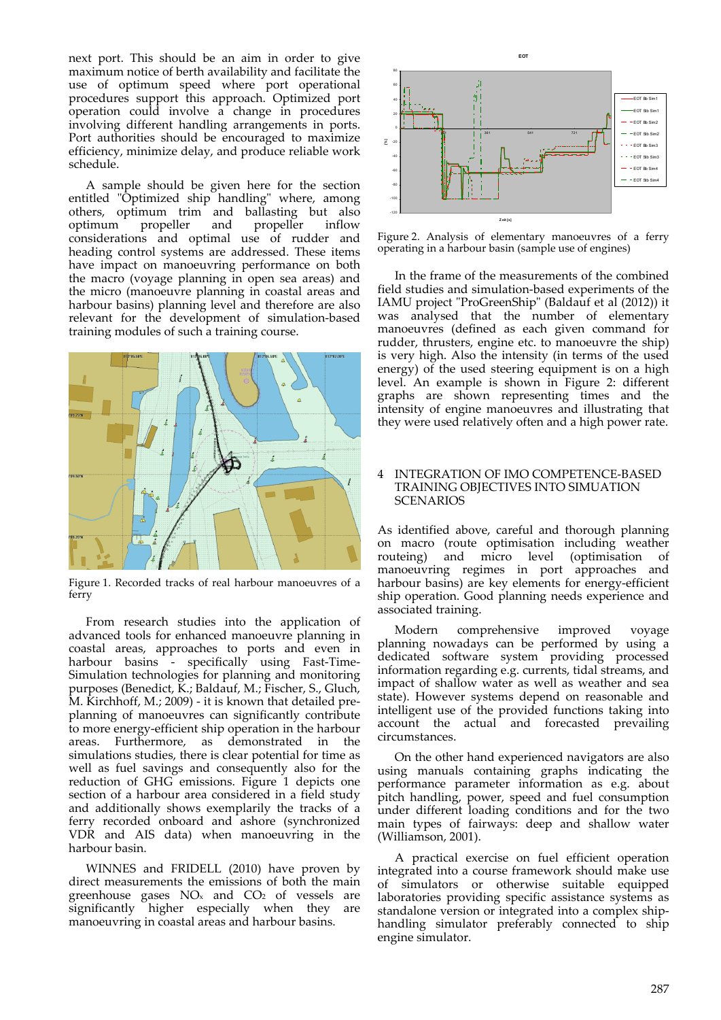next port. This should be an aim in order to give maximum notice of berth availability and facilitate the use of optimum speed where port operational procedures support this approach. Optimized port operation could involve a change in procedures involving different handling arrangements in ports. Port authorities should be encouraged to maximize efficiency, minimize delay, and produce reliable work schedule.

A sample should be given here for the section entitled "Optimized ship handling" where, among others, optimum trim and ballasting but also optimum propeller and propeller inflow optimum propeller and propeller inflow considerations and optimal use of rudder and heading control systems are addressed. These items have impact on manoeuvring performance on both the macro (voyage planning in open sea areas) and the micro (manoeuvre planning in coastal areas and harbour basins) planning level and therefore are also relevant for the development of simulation‐based training modules of such a training course.



Figure 1. Recorded tracks of real harbour manoeuvres of a ferry

From research studies into the application of advanced tools for enhanced manoeuvre planning in coastal areas, approaches to ports and even in harbour basins - specifically using Fast-Time-Simulation technologies for planning and monitoring purposes (Benedict, K.; Baldauf, M.; Fischer, S., Gluch, M. Kirchhoff, M.; 2009) ‐ it is known that detailed pre‐ planning of manoeuvres can significantly contribute to more energy-efficient ship operation in the harbour areas. Furthermore, as demonstrated in the simulations studies, there is clear potential for time as well as fuel savings and consequently also for the reduction of GHG emissions. Figure 1 depicts one section of a harbour area considered in a field study and additionally shows exemplarily the tracks of a ferry recorded onboard and ashore (synchronized VDR and AIS data) when manoeuvring in the harbour basin.

WINNES and FRIDELL (2010) have proven by direct measurements the emissions of both the main greenhouse gases  $NO<sub>x</sub>$  and  $CO<sub>2</sub>$  of vessels are significantly higher especially when they are manoeuvring in coastal areas and harbour basins.



Figure 2. Analysis of elementary manoeuvres of a ferry operating in a harbour basin (sample use of engines)

In the frame of the measurements of the combined field studies and simulation‐based experiments of the IAMU project "ProGreenShip" (Baldauf et al (2012)) it was analysed that the number of elementary manoeuvres (defined as each given command for rudder, thrusters, engine etc. to manoeuvre the ship) is very high. Also the intensity (in terms of the used energy) of the used steering equipment is on a high level. An example is shown in Figure 2: different graphs are shown representing times and the intensity of engine manoeuvres and illustrating that they were used relatively often and a high power rate.

## 4 INTEGRATION OF IMO COMPETENCE‐BASED TRAINING OBJECTIVES INTO SIMUATION **SCENARIOS**

As identified above, careful and thorough planning on macro (route optimisation including weather routeing) and micro level (optimisation of manoeuvring regimes in port approaches and harbour basins) are key elements for energy-efficient ship operation. Good planning needs experience and associated training.

Modern comprehensive improved voyage planning nowadays can be performed by using a dedicated software system providing processed information regarding e.g. currents, tidal streams, and impact of shallow water as well as weather and sea state). However systems depend on reasonable and intelligent use of the provided functions taking into account the actual and forecasted prevailing circumstances.

On the other hand experienced navigators are also using manuals containing graphs indicating the performance parameter information as e.g. about pitch handling, power, speed and fuel consumption under different loading conditions and for the two main types of fairways: deep and shallow water (Williamson, 2001).

A practical exercise on fuel efficient operation integrated into a course framework should make use of simulators or otherwise suitable equipped laboratories providing specific assistance systems as standalone version or integrated into a complex shiphandling simulator preferably connected to ship engine simulator.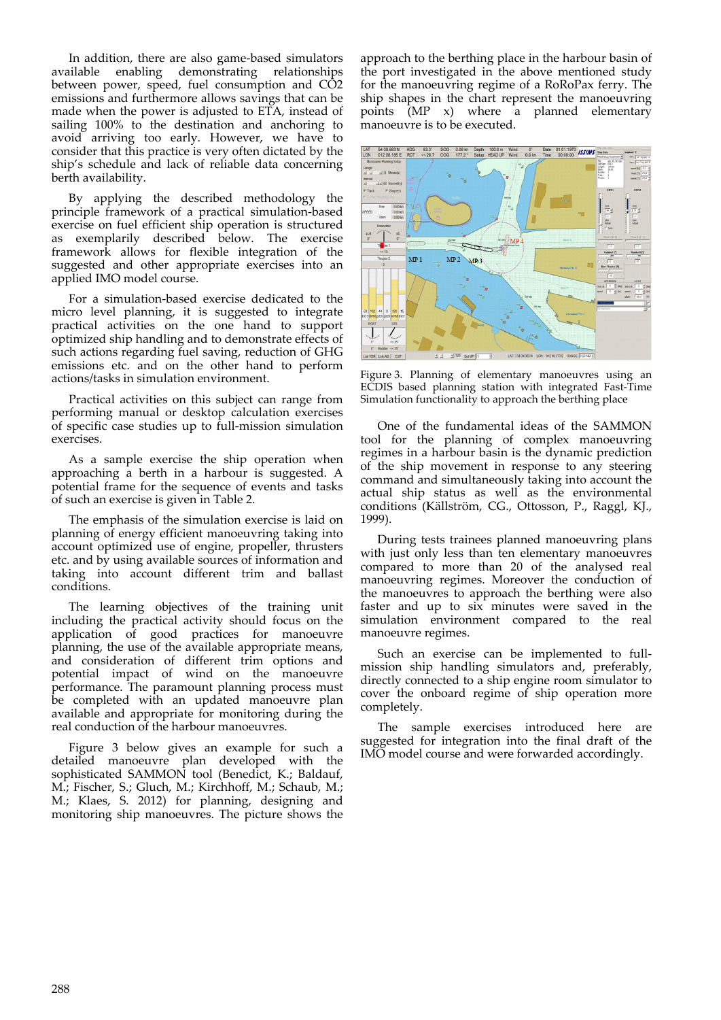In addition, there are also game-based simulators<br>available enabling demonstrating relationships enabling demonstrating relationships between power, speed, fuel consumption and CO2 emissions and furthermore allows savings that can be made when the power is adjusted to ETA, instead of sailing 100% to the destination and anchoring to avoid arriving too early. However, we have to consider that this practice is very often dictated by the ship's schedule and lack of reliable data concerning berth availability.

By applying the described methodology the principle framework of a practical simulation‐based exercise on fuel efficient ship operation is structured as exemplarily described below. The exercise framework allows for flexible integration of the suggested and other appropriate exercises into an applied IMO model course.

For a simulation‐based exercise dedicated to the micro level planning, it is suggested to integrate practical activities on the one hand to support optimized ship handling and to demonstrate effects of such actions regarding fuel saving, reduction of GHG emissions etc. and on the other hand to perform actions/tasks in simulation environment.

Practical activities on this subject can range from performing manual or desktop calculation exercises of specific case studies up to full‐mission simulation exercises.

As a sample exercise the ship operation when approaching a berth in a harbour is suggested. A potential frame for the sequence of events and tasks of such an exercise is given in Table 2.

The emphasis of the simulation exercise is laid on planning of energy efficient manoeuvring taking into account optimized use of engine, propeller, thrusters etc. and by using available sources of information and taking into account different trim and ballast conditions.

The learning objectives of the training unit including the practical activity should focus on the application of good practices for manoeuvre planning, the use of the available appropriate means, and consideration of different trim options and potential impact of wind on the manoeuvre performance. The paramount planning process must be completed with an updated manoeuvre plan available and appropriate for monitoring during the real conduction of the harbour manoeuvres.

Figure 3 below gives an example for such a detailed manoeuvre plan developed with the sophisticated SAMMON tool (Benedict, K.; Baldauf, M.; Fischer, S.; Gluch, M.; Kirchhoff, M.; Schaub, M.; M.; Klaes, S. 2012) for planning, designing and monitoring ship manoeuvres. The picture shows the approach to the berthing place in the harbour basin of the port investigated in the above mentioned study for the manoeuvring regime of a RoRoPax ferry. The ship shapes in the chart represent the manoeuvring points (MP x) where a planned elementary manoeuvre is to be executed.



Figure 3. Planning of elementary manoeuvres using an ECDIS based planning station with integrated Fast‐Time Simulation functionality to approach the berthing place

One of the fundamental ideas of the SAMMON tool for the planning of complex manoeuvring regimes in a harbour basin is the dynamic prediction of the ship movement in response to any steering command and simultaneously taking into account the actual ship status as well as the environmental conditions (Källström, CG., Ottosson, P., Raggl, KJ., 1999).

During tests trainees planned manoeuvring plans with just only less than ten elementary manoeuvres compared to more than 20 of the analysed real manoeuvring regimes. Moreover the conduction of the manoeuvres to approach the berthing were also faster and up to six minutes were saved in the simulation environment compared to the real manoeuvre regimes.

Such an exercise can be implemented to fullmission ship handling simulators and, preferably, directly connected to a ship engine room simulator to cover the onboard regime of ship operation more completely.

The sample exercises introduced here are suggested for integration into the final draft of the IMO model course and were forwarded accordingly.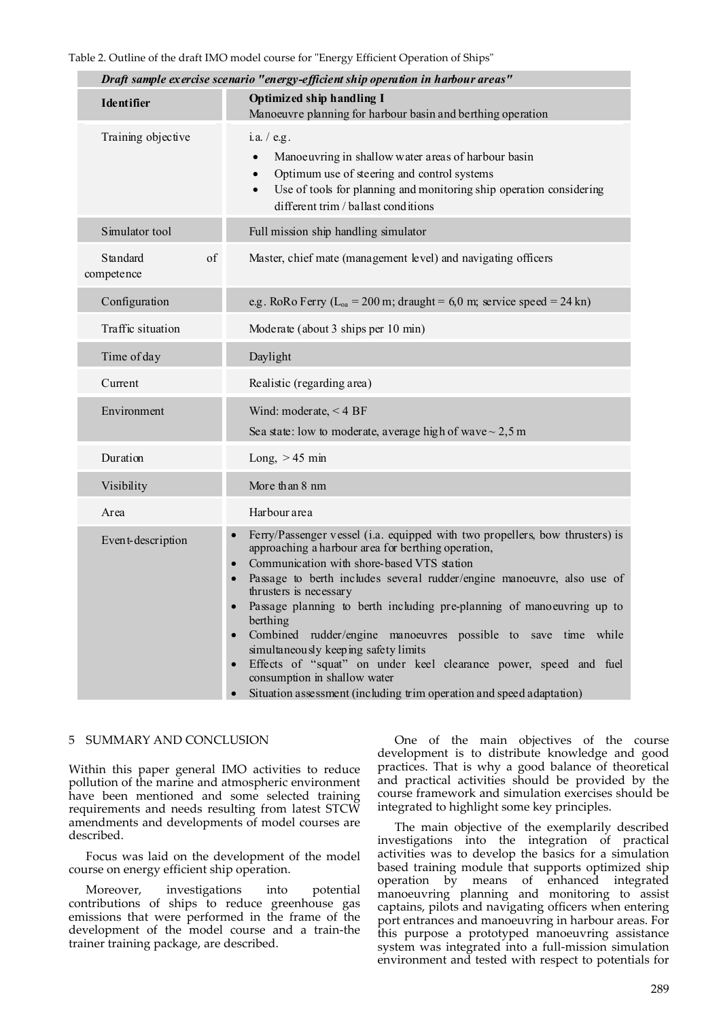|                              | Draft sample exercise scenario "energy-efficient ship operation in harbour areas"                                                                                                                                                                                                                                                                                                                                                                                                                                                                                                                                                                                                                                                            |
|------------------------------|----------------------------------------------------------------------------------------------------------------------------------------------------------------------------------------------------------------------------------------------------------------------------------------------------------------------------------------------------------------------------------------------------------------------------------------------------------------------------------------------------------------------------------------------------------------------------------------------------------------------------------------------------------------------------------------------------------------------------------------------|
| <b>Identifier</b>            | Optimized ship handling I<br>Manoeuvre planning for harbour basin and berthing operation                                                                                                                                                                                                                                                                                                                                                                                                                                                                                                                                                                                                                                                     |
| Training objective           | i.a. / e.g.<br>Manoeuvring in shallow water areas of harbour basin<br>$\bullet$<br>Optimum use of steering and control systems<br>$\bullet$<br>Use of tools for planning and monitoring ship operation considering<br>$\bullet$<br>different trim / ballast conditions                                                                                                                                                                                                                                                                                                                                                                                                                                                                       |
| Simulator tool               | Full mission ship handling simulator                                                                                                                                                                                                                                                                                                                                                                                                                                                                                                                                                                                                                                                                                                         |
| of<br>Standard<br>competence | Master, chief mate (management level) and navigating officers                                                                                                                                                                                                                                                                                                                                                                                                                                                                                                                                                                                                                                                                                |
| Configuration                | e.g. RoRo Ferry ( $L_{oa} = 200$ m; draught = 6,0 m; service speed = 24 kn)                                                                                                                                                                                                                                                                                                                                                                                                                                                                                                                                                                                                                                                                  |
| Traffic situation            | Moderate (about 3 ships per 10 min)                                                                                                                                                                                                                                                                                                                                                                                                                                                                                                                                                                                                                                                                                                          |
| Time of day                  | Daylight                                                                                                                                                                                                                                                                                                                                                                                                                                                                                                                                                                                                                                                                                                                                     |
| Current                      | Realistic (regarding area)                                                                                                                                                                                                                                                                                                                                                                                                                                                                                                                                                                                                                                                                                                                   |
| Environment                  | Wind: moderate, $<$ 4 BF<br>Sea state: low to moderate, average high of wave $\sim$ 2,5 m                                                                                                                                                                                                                                                                                                                                                                                                                                                                                                                                                                                                                                                    |
| Duration                     | Long, $>45$ min                                                                                                                                                                                                                                                                                                                                                                                                                                                                                                                                                                                                                                                                                                                              |
| Visibility                   | More than 8 nm                                                                                                                                                                                                                                                                                                                                                                                                                                                                                                                                                                                                                                                                                                                               |
| Area                         | Harbour area                                                                                                                                                                                                                                                                                                                                                                                                                                                                                                                                                                                                                                                                                                                                 |
| Event-description            | Ferry/Passenger vessel (i.a. equipped with two propellers, bow thrusters) is<br>approaching a harbour area for berthing operation,<br>Communication with shore-based VTS station<br>$\bullet$<br>Passage to berth includes several rudder/engine manoeuvre, also use of<br>$\bullet$<br>thrusters is necessary<br>Passage planning to berth including pre-planning of manoeuvring up to<br>$\bullet$<br>berthing<br>Combined rudder/engine manoeuvres possible to save time while<br>$\bullet$<br>simultaneously keeping safety limits<br>Effects of "squat" on under keel clearance power, speed and fuel<br>$\bullet$<br>consumption in shallow water<br>Situation assessment (including trim operation and speed adaptation)<br>$\bullet$ |

## 5 SUMMARY AND CONCLUSION

Within this paper general IMO activities to reduce pollution of the marine and atmospheric environment have been mentioned and some selected training requirements and needs resulting from latest STCW amendments and developments of model courses are described.

Focus was laid on the development of the model course on energy efficient ship operation.

Moreover, investigations into potential contributions of ships to reduce greenhouse gas emissions that were performed in the frame of the development of the model course and a train‐the trainer training package, are described.

One of the main objectives of the course development is to distribute knowledge and good practices. That is why a good balance of theoretical and practical activities should be provided by the course framework and simulation exercises should be integrated to highlight some key principles.

The main objective of the exemplarily described investigations into the integration of practical activities was to develop the basics for a simulation based training module that supports optimized ship operation by means of enhanced integrated manoeuvring planning and monitoring to assist captains, pilots and navigating officers when entering port entrances and manoeuvring in harbour areas. For this purpose a prototyped manoeuvring assistance system was integrated into a full‐mission simulation environment and tested with respect to potentials for